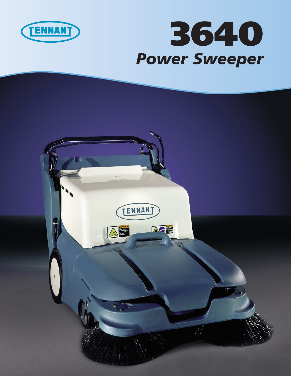

## **3640** *Power Sweeper*

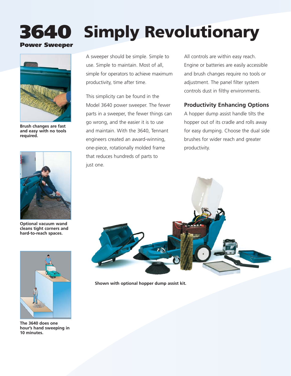## **Simply Revolutionary**



**3640**

**Power Sweeper**

**Brush changes are fast and easy with no tools required.**



**Optional vacuum wand cleans tight corners and hard-to-reach spaces.**



**The 3640 does one hour's hand sweeping in 10 minutes.**

A sweeper should be simple. Simple to use. Simple to maintain. Most of all, simple for operators to achieve maximum productivity, time after time.

This simplicity can be found in the Model 3640 power sweeper. The fewer parts in a sweeper, the fewer things can go wrong, and the easier it is to use and maintain. With the 3640, Tennant engineers created an award-winning, one-piece, rotationally molded frame that reduces hundreds of parts to just one.

All controls are within easy reach. Engine or batteries are easily accessible and brush changes require no tools or adjustment. The panel filter system controls dust in filthy environments.

### **Productivity Enhancing Options**

A hopper dump assist handle tilts the hopper out of its cradle and rolls away for easy dumping. Choose the dual side brushes for wider reach and greater productivity.



**Shown with optional hopper dump assist kit.**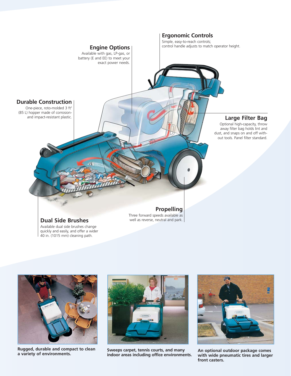



**Rugged, durable and compact to clean**



**Sweeps carpet, tennis courts, and many** kugged, durable and compact to clean sare the sarpet, tennis courts, and many sare portional outdoor package comes<br>a variety of environments. The same and our areas including office environments. With wide pneumatic tires



**with wide pneumatic tires and larger front casters.**